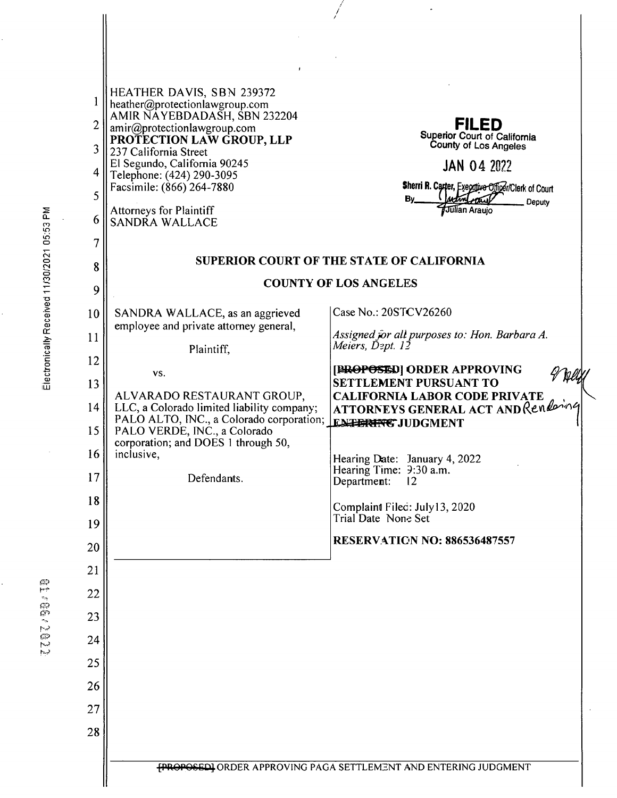| $\mathbf{1}$<br>$\overline{c}$<br>3<br>4<br>5<br>6 | <b>HEATHER DAVIS, SBN 239372</b><br>heather@protectionlawgroup.com<br>AMIR NAYEBDADASH, SBN 232204<br>amir@protectionlawgroup.com<br>PROTECTION LAW GROUP, LLP<br>237 California Street<br>El Segundo, California 90245<br>Telephone: (424) 290-3095<br>Facsimile: (866) 264-7880<br><b>Attorneys for Plaintiff</b><br>SANDRA WALLACE | <b>FILED</b><br>Superior Court of California<br>County of Los Angeles<br><b>JAN 04 2022</b><br>Sherri R. Carter, Executive Officer/Clerk of Court<br>By_<br>Deputy<br>Julian Araujo |
|----------------------------------------------------|---------------------------------------------------------------------------------------------------------------------------------------------------------------------------------------------------------------------------------------------------------------------------------------------------------------------------------------|-------------------------------------------------------------------------------------------------------------------------------------------------------------------------------------|
| 7<br>8                                             |                                                                                                                                                                                                                                                                                                                                       | SUPERIOR COURT OF THE STATE OF CALIFORNIA                                                                                                                                           |
| 9                                                  | <b>COUNTY OF LOS ANGELES</b>                                                                                                                                                                                                                                                                                                          |                                                                                                                                                                                     |
| 10<br>11                                           | SANDRA WALLACE, as an aggrieved<br>employee and private attorney general,                                                                                                                                                                                                                                                             | Case No.: 20STCV26260<br>Assigned for all purposes to: Hon. Barbara A.<br>Meiers, Dept. 12                                                                                          |
| 12                                                 | Plaintiff,<br>VS.                                                                                                                                                                                                                                                                                                                     | [BROPOSED] ORDER APPROVING                                                                                                                                                          |
| 13                                                 | ALVARADO RESTAURANT GROUP,                                                                                                                                                                                                                                                                                                            | <b>SETTLEMENT PURSUANT TO</b><br><b>CALIFORNIA LABOR CODE PRIVATE</b>                                                                                                               |
| 14<br>15                                           | LLC, a Colorado limited liability company;<br>PALO ALTO, INC., a Colorado corporation;<br>PALO VERDE, INC., a Colorado                                                                                                                                                                                                                | ATTORNEYS GENERAL ACT AND Rendering<br><b>ENTERFNG JUDGMENT</b>                                                                                                                     |
| 16                                                 | corporation; and DOES 1 through 50,<br>inclusive,                                                                                                                                                                                                                                                                                     | Hearing Date: January 4, 2022                                                                                                                                                       |
| 17                                                 | Defendants.                                                                                                                                                                                                                                                                                                                           | Hearing Time: 9:30 a.m.<br>Department:<br>$12 \,$                                                                                                                                   |
| 18                                                 |                                                                                                                                                                                                                                                                                                                                       | Complaint Filec: July13, 2020<br>Trial Date None Set                                                                                                                                |
| 19                                                 |                                                                                                                                                                                                                                                                                                                                       | <b>RESERVATION NO: 886536487557</b>                                                                                                                                                 |
| 20<br>21                                           |                                                                                                                                                                                                                                                                                                                                       |                                                                                                                                                                                     |
| 22                                                 |                                                                                                                                                                                                                                                                                                                                       |                                                                                                                                                                                     |
| 23                                                 |                                                                                                                                                                                                                                                                                                                                       |                                                                                                                                                                                     |
| 24                                                 |                                                                                                                                                                                                                                                                                                                                       |                                                                                                                                                                                     |
| 25                                                 |                                                                                                                                                                                                                                                                                                                                       |                                                                                                                                                                                     |
| 26                                                 |                                                                                                                                                                                                                                                                                                                                       |                                                                                                                                                                                     |
| 27<br>28                                           |                                                                                                                                                                                                                                                                                                                                       |                                                                                                                                                                                     |
|                                                    |                                                                                                                                                                                                                                                                                                                                       |                                                                                                                                                                                     |
|                                                    |                                                                                                                                                                                                                                                                                                                                       | <b>FROPOSEDI</b> ORDER APPROVING PAGA SETTLEMENT AND ENTERING JUDGMENT                                                                                                              |

X

 $\frac{1}{2}$ 

 $\ddot{\cdot}$ 

Electronically Received 11/30/2021 05:53 PM

 $\frac{1}{2}$ 

 $\ddot{\cdot}$ 

Ŷ,

1191.99120

ł,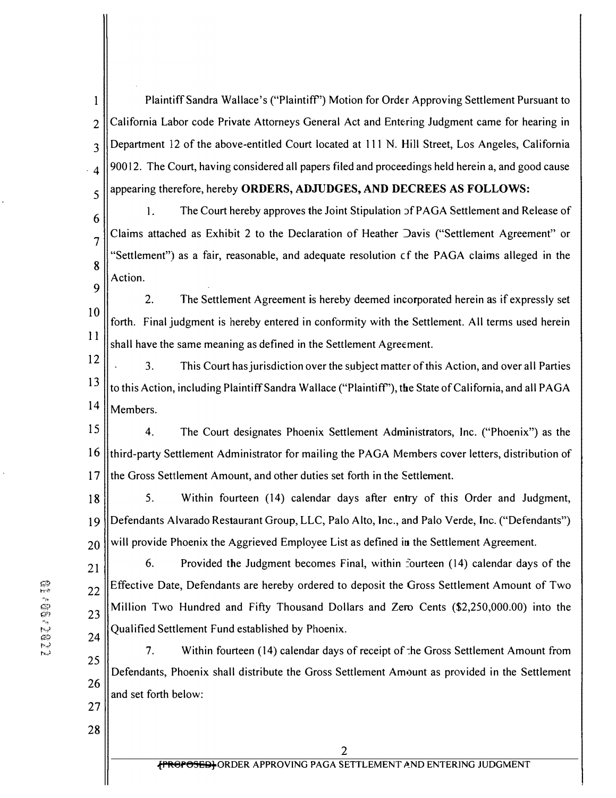1 Plaintiff Sandra Wallace's ("Plaintiff') Motion for Order Approving Settlement Pursuant to  $2$  California Labor code Private Attorneys General Act and Entering Judgment came for hearing in  $3$  Department 12 of the above-entitled Court located at 111 N. Hill Street, Los Angeles, California  $\vert 4 \vert$  90012. The Court, having considered all papers filed and proceedings held herein a, and good cause 5 || appearing therefore, hereby **ORDERS, ADJUDGES, AND DECREES AS FOLLOWS:** 

7

8

9

 $\begin{bmatrix} 6 \end{bmatrix}$  1. The Court hereby approves the Joint Stipulation 5f PAGA Settlement and Release of Claims attached as Exhibit 2 to the Declaration of Heather Davis ("Settlement Agreement" or "Settlement") as a fair, reasonable, and adequate resolution cf the PAGA claims alleged in the Action.

10 11 2. The Settlement Agreement is hereby deemed incorporated herein as if expressly set forth. Final judgment is hereby entered in conformity with the Settlement. All terms used herein shall have the same meaning as defined in the Settlement Agreement.

12 3. This Court has jurisdiction over the subject matter of this Action, and over all Parties  $13$  to this Action, including Plaintiff Sandra Wallace ("Plaintiff"), the State of California, and all PAGA  $14$  Members.

15 4. The Court designates Phoenix Settlement Administrators, Inc. ("Phoenix") as the 16 third-party Settlement Administrator for mailing the PAGA Members cover letters, distribution of 17 If the Gross Settlement Amount, and other duties set forth in the Settlement.

18 || 5. Within fourteen (14) calendar days after entry of this Order and Judgment, 19 Defendants Alvarado Restaurant Group, LLC, Palo Alto, lnc., and Palo Verde, lnc. ("Defendants")  $20$  will provide Phoenix the Aggrieved Employee List as defined in the Settlement Agreement.

 $21$  6. Provided the Judgment becomes Final, within fourteen (14) calendar days of the  $_{22}$  Effective Date, Defendants are hereby ordered to deposit the Gross Settlement Amount of Two  $23$  Million Two Hundred and Fifty Thousand Dollars and Zero Cents (\$2,250,000.00) into the Qualified Settlement Fund established by Phoenix. 24

25 26 7. Within fourteen (14) calendar days of receipt of the Gross Settlement Amount from Defendants, Phoenix shall distribute the Gross Settlement Amount as provided in the Settlement and set forth below:

7787.98.19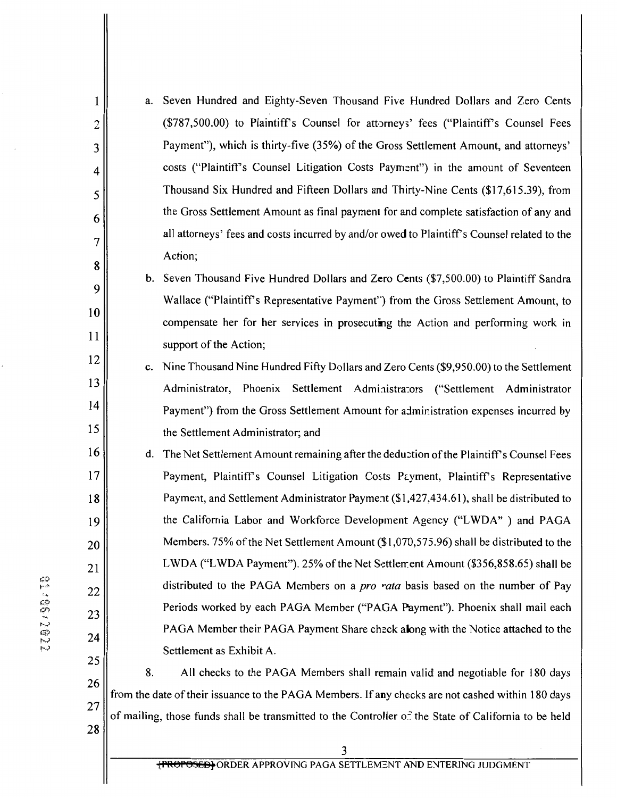| $\mathbf{1}$             | a.                                                                                                   | Seven Hundred and Eighty-Seven Thousand Five Hundred Dollars and Zero Cents                 |
|--------------------------|------------------------------------------------------------------------------------------------------|---------------------------------------------------------------------------------------------|
| $\overline{c}$           |                                                                                                      | (\$787,500.00) to Plaintiff's Counsel for attorneys' fees ("Plaintiff's Counsel Fees        |
| 3                        |                                                                                                      | Payment"), which is thirty-five (35%) of the Gross Settlement Amount, and attorneys'        |
| $\overline{\mathcal{A}}$ |                                                                                                      | costs ("Plaintiff's Counsel Litigation Costs Payment") in the amount of Seventeen           |
| 5                        |                                                                                                      | Thousand Six Hundred and Fifteen Dollars and Thirty-Nine Cents (\$17,615.39), from          |
| 6                        |                                                                                                      | the Gross Settlement Amount as final payment for and complete satisfaction of any and       |
| 7                        |                                                                                                      | all attorneys' fees and costs incurred by and/or owed to Plaintiff's Counsel related to the |
| 8                        |                                                                                                      | Action;                                                                                     |
| 9                        |                                                                                                      | b. Seven Thousand Five Hundred Dollars and Zero Cents (\$7,500.00) to Plaintiff Sandra      |
| 10                       |                                                                                                      | Wallace ("Plaintiff's Representative Payment") from the Gross Settlement Amount, to         |
| 11                       |                                                                                                      | compensate her for her services in prosecuting the Action and performing work in            |
| 12                       |                                                                                                      | support of the Action;                                                                      |
|                          | c.                                                                                                   | Nine Thousand Nine Hundred Fifty Dollars and Zero Cents (\$9,950.00) to the Settlement      |
| 13                       |                                                                                                      | Administrator, Phoenix Settlement Administrators ("Settlement Administrator                 |
| 14                       |                                                                                                      | Payment") from the Gross Settlement Amount for administration expenses incurred by          |
| 15                       |                                                                                                      | the Settlement Administrator; and                                                           |
| 16                       | d.                                                                                                   | The Net Settlement Amount remaining after the deduction of the Plaintiff's Counsel Fees     |
| 17                       |                                                                                                      | Payment, Plaintiff's Counsel Litigation Costs Payment, Plaintiff's Representative           |
| 18                       |                                                                                                      | Payment, and Settlement Administrator Payment (\$1,427,434.61), shall be distributed to     |
| 19                       |                                                                                                      | the California Labor and Workforce Development Agency ("LWDA") and PAGA                     |
| 20                       |                                                                                                      | Members. 75% of the Net Settlement Amount (\$1,070,575.96) shall be distributed to the      |
| 21                       |                                                                                                      | LWDA ("LWDA Payment"). 25% of the Net Settlement Amount (\$356,858.65) shall be             |
| 22                       |                                                                                                      | distributed to the PAGA Members on a <i>pro rata</i> basis based on the number of Pay       |
| 23                       |                                                                                                      | Periods worked by each PAGA Member ("PAGA Payment"). Phoenix shall mail each                |
| 24                       |                                                                                                      | PAGA Member their PAGA Payment Share check along with the Notice attached to the            |
| 25                       |                                                                                                      | Settlement as Exhibit A.                                                                    |
| 26                       | 8.                                                                                                   | All checks to the PAGA Members shall remain valid and negotiable for 180 days               |
| 27                       | from the date of their issuance to the PAGA Members. If any checks are not cashed within 180 days    |                                                                                             |
|                          | of mailing, those funds shall be transmitted to the Controller of the State of California to be held |                                                                                             |

11705/2022

28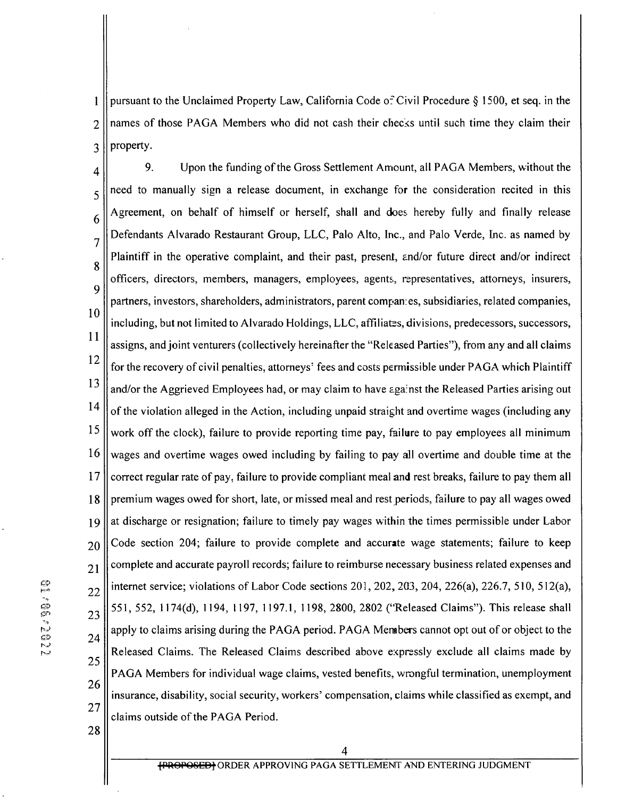pursuant to the Unclaimed Property Law, California Code of Civil Procedure § 1500, et seq. in the  $\mathbf{1}$ names of those PAGA Members who did not cash their checks until such time they claim their  $\overline{2}$ property.  $\overline{3}$ 

9. Upon the funding of the Gross Settlement Amount, all PAGA Members, without the  $\overline{4}$ need to manually sign a release document, in exchange for the consideration recited in this 5 Agreement, on behalf of himself or herself, shall and does hereby fully and finally release 6 Defendants Alvarado Restaurant Group, LLC, Palo Alto, Inc., and Palo Verde, Inc. as named by  $\overline{7}$ Plaintiff in the operative complaint, and their past, present, and/or future direct and/or indirect 8 officers, directors, members, managers, employees, agents, representatives, attorneys, insurers, 9 partners, investors, shareholders, administrators, parent companies, subsidiaries, related companies, 10 including, but not limited to Alvarado Holdings, LLC, affiliates, divisions, predecessors, successors, 11 assigns, and joint venturers (collectively hereinafter the "Released Parties"), from any and all claims 12 for the recovery of civil penalties, attorneys' fees and costs permissible under PAGA which Plaintiff 13 and/or the Aggrieved Employees had, or may claim to have against the Released Parties arising out 14 of the violation alleged in the Action, including unpaid straight and overtime wages (including any 15 work off the clock), failure to provide reporting time pay, failure to pay employees all minimum 16 wages and overtime wages owed including by failing to pay all overtime and double time at the 17 correct regular rate of pay, failure to provide compliant meal and rest breaks, failure to pay them all premium wages owed for short, late, or missed meal and rest periods, failure to pay all wages owed 18 at discharge or resignation; failure to timely pay wages within the times permissible under Labor 19 Code section 204; failure to provide complete and accurate wage statements; failure to keep 20 complete and accurate payroll records; failure to reimburse necessary business related expenses and 21 internet service; violations of Labor Code sections  $201, 202, 203, 204, 226(a), 226.7, 510, 512(a),$ 22 551, 552, 1174(d), 1194, 1197, 1197.1, 1198, 2800, 2802 ("Released Claims"). This release shall 23 apply to claims arising during the PAGA period. PAGA Members cannot opt out of or object to the 24 Released Claims. The Released Claims described above expressly exclude all claims made by 25 PAGA Members for individual wage claims, vested benefits, wrongful termination, unemployment 26 insurance, disability, social security, workers' compensation, claims while classified as exempt, and 27 claims outside of the PAGA Period.

28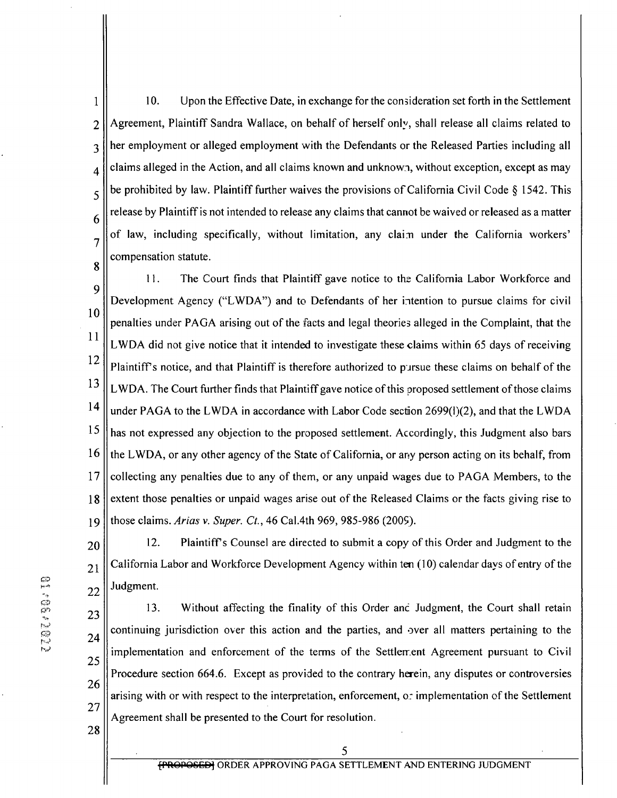10. Upon the Effective Date, in exchange for the consideration set forth in the Settlement  $\mathbf{1}$ Agreement, Plaintiff Sandra Wallace, on behalf of herself only, shall release all claims related to  $\overline{2}$ her employment or alleged employment with the Defendants or the Released Parties including all  $\overline{3}$ claims alleged in the Action, and all claims known and unknown, without exception, except as may  $\overline{4}$ be prohibited by law. Plaintiff further waives the provisions of California Civil Code § 1542. This 5 release by Plaintiff is not intended to release any claims that cannot be waived or released as a matter 6 of law, including specifically, without limitation, any claim under the California workers'  $\overline{7}$ compensation statute. 8

11. The Court finds that Plaintiff gave notice to the California Labor Workforce and 9 Development Agency ("LWDA") and to Defendants of her intention to pursue claims for civil 10 penalties under PAGA arising out of the facts and legal theories alleged in the Complaint, that the 11 LWDA did not give notice that it intended to investigate these claims within 65 days of receiving 12 Plaintiff's notice, and that Plaintiff is therefore authorized to pursue these claims on behalf of the 13 LWDA. The Court further finds that Plaintiff gave notice of this proposed settlement of those claims 14 under PAGA to the LWDA in accordance with Labor Code section  $2699(1)(2)$ , and that the LWDA 15 has not expressed any objection to the proposed settlement. Accordingly, this Judgment also bars 16 the LWDA, or any other agency of the State of California, or any person acting on its behalf, from 17 collecting any penalties due to any of them, or any unpaid wages due to PAGA Members, to the extent those penalties or unpaid wages arise out of the Released Claims or the facts giving rise to 18 those claims. Arias v. Super. Ct., 46 Cal.4th 969, 985-986 (2005). 19

12. Plaintiff's Counsel are directed to submit a copy of this Order and Judgment to the 20 California Labor and Workforce Development Agency within ten (10) calendar days of entry of the 21 Judgment. 22

13. Without affecting the finality of this Order and Judgment, the Court shall retain 23 continuing jurisdiction over this action and the parties, and over all matters pertaining to the 24 implementation and enforcement of the terms of the Settlement Agreement pursuant to Civil 25 Procedure section 664.6. Except as provided to the contrary herein, any disputes or controversies 26 arising with or with respect to the interpretation, enforcement, or implementation of the Settlement 27 Agreement shall be presented to the Court for resolution.

28

5